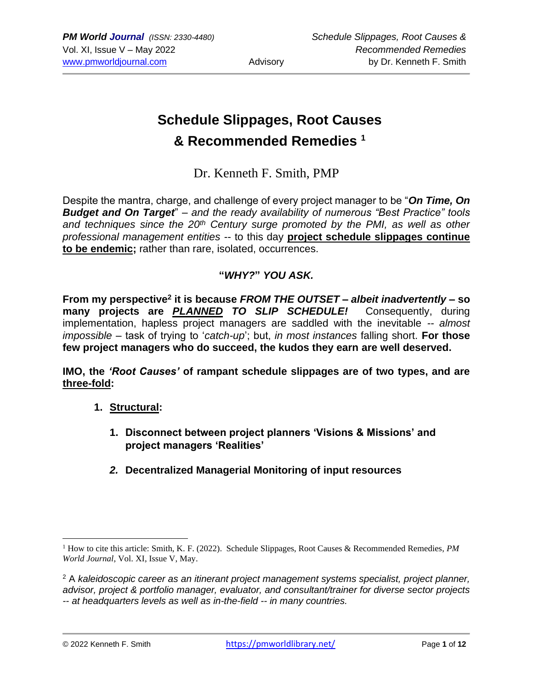# **Schedule Slippages, Root Causes & Recommended Remedies <sup>1</sup>**

## Dr. Kenneth F. Smith, PMP

Despite the mantra, charge, and challenge of every project manager to be "*On Time, On Budget and On Target*" – *and the ready availability of numerous "Best Practice" tools and techniques since the 20th Century surge promoted by the PMI, as well as other professional management entities* -- to this day **project schedule slippages continue to be endemic;** rather than rare, isolated, occurrences.

## **"***WHY?***"** *YOU ASK.*

From my perspective<sup>2</sup> it is because *FROM THE OUTSET* – *albeit inadvertently* – so **many projects are** *PLANNED TO SLIP SCHEDULE!* Consequently, during implementation, hapless project managers are saddled with the inevitable *-- almost impossible* – task of trying to '*catch-up*'; but, *in most instances* falling short. **For those few project managers who do succeed, the kudos they earn are well deserved.**

**IMO, the** *'Root Causes'* **of rampant schedule slippages are of two types, and are three-fold:**

## **1. Structural:**

- **1. Disconnect between project planners 'Visions & Missions' and project managers 'Realities'**
- *2.* **Decentralized Managerial Monitoring of input resources**

<sup>&</sup>lt;sup>1</sup> How to cite this article: Smith, K. F. (2022). Schedule Slippages, Root Causes & Recommended Remedies, *PM World Journal*, Vol. XI, Issue V, May.

<sup>2</sup> A *kaleidoscopic career as an itinerant project management systems specialist, project planner, advisor, project & portfolio manager, evaluator, and consultant/trainer for diverse sector projects -- at headquarters levels as well as in-the-field -- in many countries.*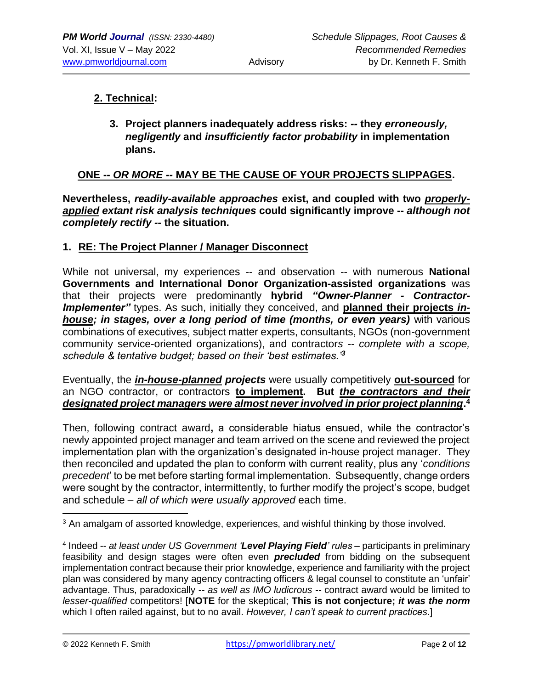## **2. Technical:**

**3. Project planners inadequately address risks:** *--* **they** *erroneously, negligently* **and** *insufficiently factor probability* **in implementation plans.** 

### **ONE --** *OR MORE --* **MAY BE THE CAUSE OF YOUR PROJECTS SLIPPAGES.**

**Nevertheless,** *readily-available approaches* **exist, and coupled with two** *properlyapplied extant risk analysis techniques* **could significantly improve --** *although not completely rectify --* **the situation.**

#### **1. RE: The Project Planner / Manager Disconnect**

While not universal, my experiences -- and observation -- with numerous **National Governments and International Donor Organization-assisted organizations** was that their projects were predominantly **hybrid** *"Owner-Planner - Contractor-Implementer"* types. As such, initially they conceived, and **planned their projects** *inhouse; in stages, over a long period of time (months, or even years)* with various combinations of executives, subject matter experts, consultants, NGOs (non-government community service-oriented organizations), and contractor*s -- complete with a scope, schedule & tentative budget; based on their 'best estimates.'<sup>3</sup>*

Eventually, the *in-house-planned projects* were usually competitively **out-sourced** for an NGO contractor, or contractors **to implement. But** *the contractors and their designated project managers were almost never involved in prior project planning***. 4** 

Then, following contract award**,** a considerable hiatus ensued, while the contractor's newly appointed project manager and team arrived on the scene and reviewed the project implementation plan with the organization's designated in-house project manager. They then reconciled and updated the plan to conform with current reality, plus any '*conditions precedent*' to be met before starting formal implementation. Subsequently, change orders were sought by the contractor, intermittently, to further modify the project's scope, budget and schedule – *all of which were usually approved* each time.

<sup>&</sup>lt;sup>3</sup> An amalgam of assorted knowledge, experiences, and wishful thinking by those involved.

<sup>4</sup> Indeed -- *at least under US Government 'Level Playing Field' rules* – participants in preliminary feasibility and design stages were often even *precluded* from bidding on the subsequent implementation contract because their prior knowledge, experience and familiarity with the project plan was considered by many agency contracting officers & legal counsel to constitute an 'unfair' advantage. Thus, paradoxically -- *as well as IMO ludicrous --* contract award would be limited to *lesser-qualified* competitors! [**NOTE** for the skeptical; **This is not conjecture;** *it was the norm* which I often railed against, but to no avail. *However, I can't speak to current practices*.]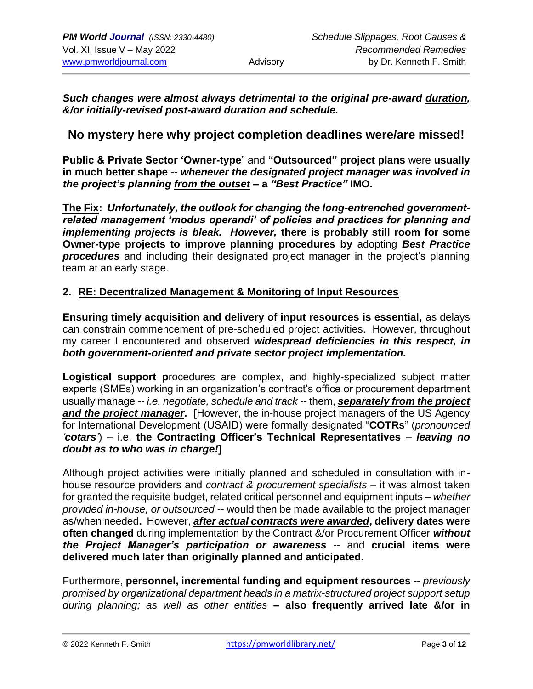*Such changes were almost always detrimental to the original pre-award duration, &/or initially-revised post-award duration and schedule.* 

## **No mystery here why project completion deadlines were/are missed!**

**Public & Private Sector 'Owner-type**" and **"Outsourced" project plans** were **usually in much better shape** -- *whenever the designated project manager was involved in the project's planning from the outset* **– a** *"Best Practice"* **IMO.**

**The Fix:** *Unfortunately, the outlook for changing the long-entrenched governmentrelated management 'modus operandi' of policies and practices for planning and implementing projects is bleak. However,* **there is probably still room for some Owner-type projects to improve planning procedures by** adopting *Best Practice procedures* and including their designated project manager in the project's planning team at an early stage.

#### **2. RE: Decentralized Management & Monitoring of Input Resources**

**Ensuring timely acquisition and delivery of input resources is essential,** as delays can constrain commencement of pre-scheduled project activities. However, throughout my career I encountered and observed *widespread deficiencies in this respect, in both government-oriented and private sector project implementation.*

**Logistical support p**rocedures are complex, and highly-specialized subject matter experts (SMEs) working in an organization's contract's office or procurement department usually manage -- *i.e. negotiate, schedule and track* -- them, *separately from the project and the project manager***. [**However, the in-house project managers of the US Agency for International Development (USAID) were formally designated "**COTRs**" (*pronounced 'cotars'*) – i.e. **the Contracting Officer's Technical Representatives** – *leaving no doubt as to who was in charge!***]**

Although project activities were initially planned and scheduled in consultation with inhouse resource providers and *contract & procurement specialists* – it was almost taken for granted the requisite budget, related critical personnel and equipment inputs – *whether provided in-house, or outsourced* -- would then be made available to the project manager as/when needed**.** However, *after actual contracts were awarded***, delivery dates were often changed** during implementation by the Contract &/or Procurement Officer *without the Project Manager's participation or awareness* -- and **crucial items were delivered much later than originally planned and anticipated.** 

Furthermore, **personnel, incremental funding and equipment resources --** *previously promised by organizational department heads in a matrix-structured project support setup during planning; as well as other entities* **– also frequently arrived late &/or in**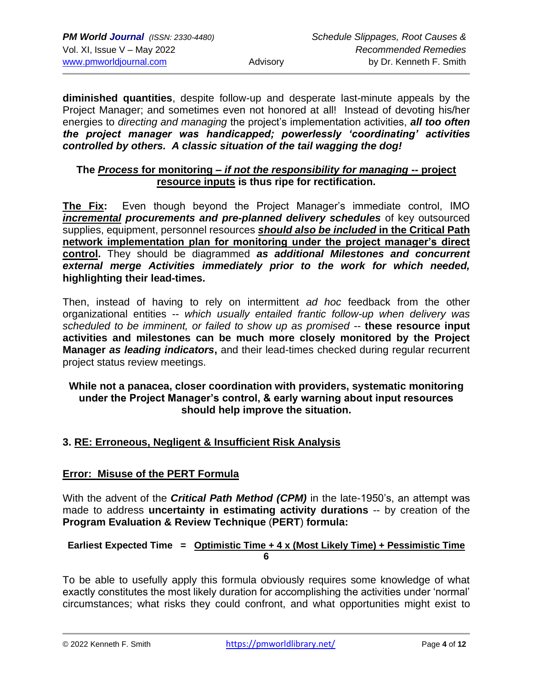**diminished quantities**, despite follow-up and desperate last-minute appeals by the Project Manager; and sometimes even not honored at all! Instead of devoting his/her energies to *directing and managing* the project's implementation activities, *all too often the project manager was handicapped; powerlessly 'coordinating' activities controlled by others. A classic situation of the tail wagging the dog!*

#### **The** *Process* **for monitoring –** *if not the responsibility for managing* **-- project resource inputs is thus ripe for rectification.**

**The Fix:** Even though beyond the Project Manager's immediate control, IMO *incremental procurements and pre-planned delivery schedules* of key outsourced supplies, equipment, personnel resources *should also be included* **in the Critical Path network implementation plan for monitoring under the project manager's direct control.** They should be diagrammed *as additional Milestones and concurrent external merge Activities immediately prior to the work for which needed,*  **highlighting their lead-times.**

Then, instead of having to rely on intermittent *ad hoc* feedback from the other organizational entities -- *which usually entailed frantic follow-up when delivery was scheduled to be imminent, or failed to show up as promised* -- **these resource input activities and milestones can be much more closely monitored by the Project Manager** *as leading indicators***,** and their lead-times checked during regular recurrent project status review meetings.

#### **While not a panacea, closer coordination with providers, systematic monitoring under the Project Manager's control, & early warning about input resources should help improve the situation.**

## **3. RE: Erroneous, Negligent & Insufficient Risk Analysis**

## **Error: Misuse of the PERT Formula**

With the advent of the *Critical Path Method (CPM)* in the late-1950's, an attempt was made to address **uncertainty in estimating activity durations** -- by creation of the **Program Evaluation & Review Technique** (**PERT**) **formula:** 

#### **Earliest Expected Time = Optimistic Time + 4 x (Most Likely Time) + Pessimistic Time 6**

To be able to usefully apply this formula obviously requires some knowledge of what exactly constitutes the most likely duration for accomplishing the activities under 'normal' circumstances; what risks they could confront, and what opportunities might exist to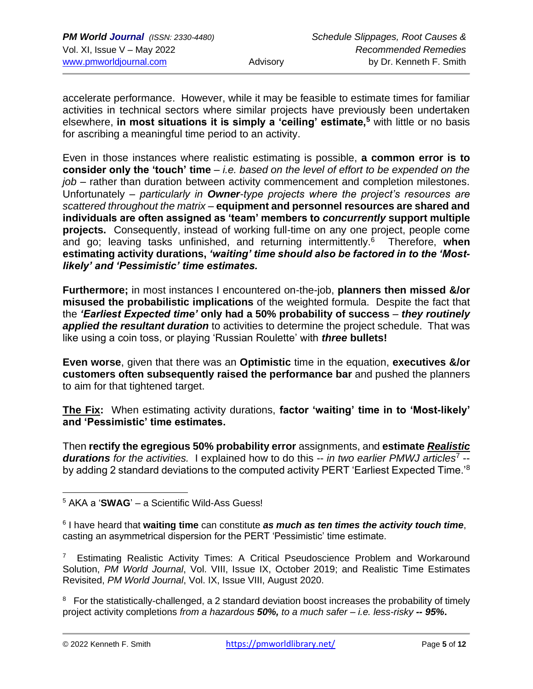accelerate performance. However, while it may be feasible to estimate times for familiar activities in technical sectors where similar projects have previously been undertaken elsewhere, **in most situations it is simply a 'ceiling' estimate,<sup>5</sup>** with little or no basis for ascribing a meaningful time period to an activity.

Even in those instances where realistic estimating is possible, **a common error is to consider only the 'touch' time** – *i.e. based on the level of effort to be expended on the job* – rather than duration between activity commencement and completion milestones. Unfortunately – *particularly in Owner-type projects where the project's resources are scattered throughout the matrix* – **equipment and personnel resources are shared and individuals are often assigned as 'team' members to** *concurrently* **support multiple projects.** Consequently, instead of working full-time on any one project, people come and go; leaving tasks unfinished, and returning intermittently.<sup>6</sup> Therefore, **when estimating activity durations,** *'waiting' time should also be factored in to the 'Mostlikely' and 'Pessimistic' time estimates.* 

**Furthermore;** in most instances I encountered on-the-job, **planners then missed &/or misused the probabilistic implications** of the weighted formula.Despite the fact that the *'Earliest Expected time'* **only had a 50% probability of success** – *they routinely applied the resultant duration* to activities to determine the project schedule. That was like using a coin toss, or playing 'Russian Roulette' with *three* **bullets!** 

**Even worse**, given that there was an **Optimistic** time in the equation, **executives &/or customers often subsequently raised the performance bar** and pushed the planners to aim for that tightened target.

**The Fix:** When estimating activity durations, **factor 'waiting' time in to 'Most-likely' and 'Pessimistic' time estimates.** 

Then **rectify the egregious 50% probability error** assignments, and **estimate** *Realistic durations for the activities.* I explained how to do this -- *in two earlier PMWJ articles*<sup>7</sup> - by adding 2 standard deviations to the computed activity PERT 'Earliest Expected Time.'<sup>8</sup>

7 Estimating Realistic Activity Times: A Critical Pseudoscience Problem and Workaround Solution, *PM World Journal*, Vol. VIII, Issue IX, October 2019; and Realistic Time Estimates Revisited, *PM World Journal*, Vol. IX, Issue VIII, August 2020.

<sup>8</sup> For the statistically-challenged, a 2 standard deviation boost increases the probability of timely project activity completions *from a hazardous 50%, to a much safer – i.e. less-risky -- 95%***.**

<sup>5</sup> AKA a '**SWAG**' – a Scientific Wild-Ass Guess!

<sup>6</sup> I have heard that **waiting time** can constitute *as much as ten times the activity touch time*, casting an asymmetrical dispersion for the PERT 'Pessimistic' time estimate.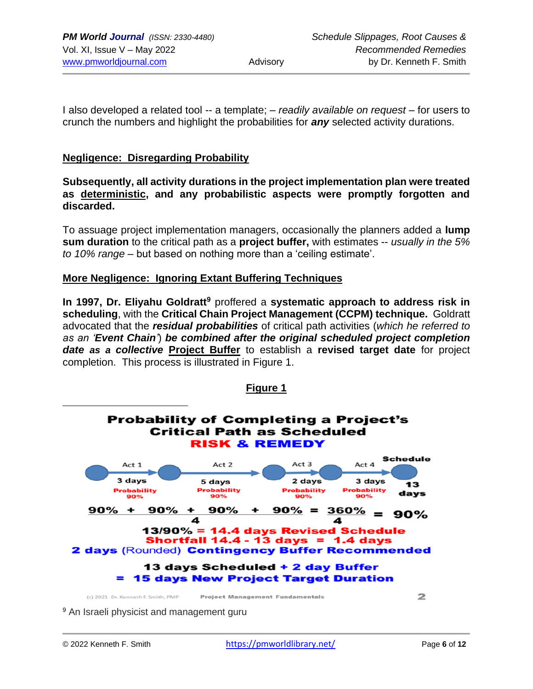I also developed a related tool -- a template; – *readily available on request* – for users to crunch the numbers and highlight the probabilities for *any* selected activity durations.

#### **Negligence: Disregarding Probability**

**Subsequently, all activity durations in the project implementation plan were treated as deterministic, and any probabilistic aspects were promptly forgotten and discarded.** 

To assuage project implementation managers, occasionally the planners added a **lump sum duration** to the critical path as a **project buffer,** with estimates -- *usually in the 5% to 10% range* – but based on nothing more than a 'ceiling estimate'.

#### **More Negligence: Ignoring Extant Buffering Techniques**

**In 1997, Dr. Eliyahu Goldratt<sup>9</sup>** proffered a **systematic approach to address risk in scheduling**, with the **Critical Chain Project Management (CCPM) technique.** Goldratt advocated that the *residual probabilities* of critical path activities (*which he referred to as an 'Event Chain'*) *be combined after the original scheduled project completion date as a collective* **Project Buffer** to establish a **revised target date** for project completion. This process is illustrated in Figure 1.

**Figure 1**



<sup>9</sup> An Israeli physicist and management guru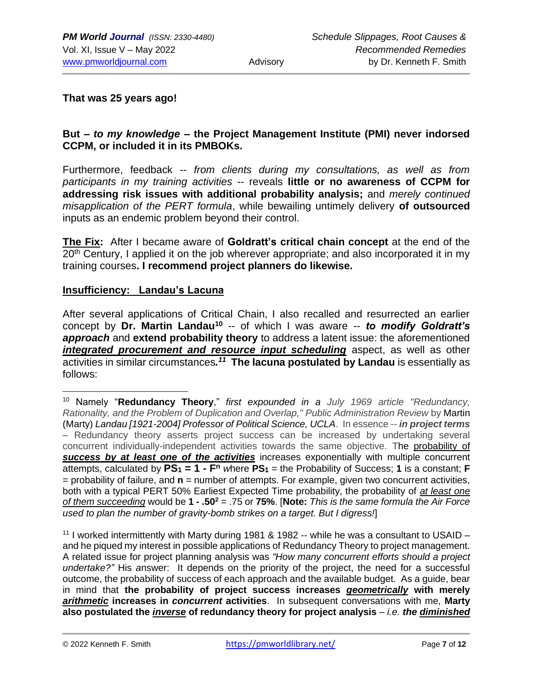**That was 25 years ago!**

#### **But –** *to my knowledge* **– the Project Management Institute (PMI) never indorsed CCPM, or included it in its PMBOKs.**

Furthermore, feedback -- *from clients during my consultations, as well as from participants in my training activities* -- reveals **little or no awareness of CCPM for addressing risk issues with additional probability analysis;** and *merely continued misapplication of the PERT formula*, while bewailing untimely delivery **of outsourced**  inputs as an endemic problem beyond their control.

**The Fix:** After I became aware of **Goldratt's critical chain concept** at the end of the 20<sup>th</sup> Century, I applied it on the job wherever appropriate; and also incorporated it in my training courses**. I recommend project planners do likewise.**

#### **Insufficiency: Landau's Lacuna**

After several applications of Critical Chain, I also recalled and resurrected an earlier concept by **Dr. Martin Landau<sup>10</sup>** -- of which I was aware *-- to modify Goldratt's approach* and **extend probability theory** to address a latent issue: the aforementioned *integrated procurement and resource input scheduling* aspect, as well as other activities in similar circumstances.<sup>11</sup> The lacuna postulated by Landau is essentially as follows:

<sup>11</sup> I worked intermittently with Marty during 1981 & 1982 -- while he was a consultant to USAID  $$ and he piqued my interest in possible applications of Redundancy Theory to project management. A related issue for project planning analysis was *"How many concurrent efforts should a project undertake?"* His *a*nswer: It depends on the priority of the project, the need for a successful outcome, the probability of success of each approach and the available budget. As a guide, bear in mind that **the probability of project success increases** *geometrically* **with merely**  *arithmetic* **increases in** *concurrent* **activities**. In subsequent conversations with me, **Marty also postulated the** *inverse* **of redundancy theory for project analysis** *– i.e. the diminished* 

<sup>10</sup> Namely "**Redundancy Theory**," *first expounded in a July 1969 article "Redundancy, Rationality, and the Problem of Duplication and Overlap," Public Administration Review* by Martin (Marty) *Landau [1921-2004] Professor of Political Science, UCLA*. In essence -- *in project terms* – Redundancy theory asserts project success can be increased by undertaking several concurrent individually-independent activities towards the same objective. The probability of *success by at least one of the activities* increases exponentially with multiple concurrent attempts, calculated by **PS<sup>1</sup> = 1 - F <sup>n</sup>** *w*here **PS<sup>1</sup>** = the Probability of Success; **1** is a constant; **F** = probability of failure, and **n** = number of attempts. For example, given two concurrent activities, both with a typical PERT 50% Earliest Expected Time probability, the probability of *at least one of them succeeding* would be **1 - .50<sup>2</sup>** = .75 or **75%**. [**Note:** *This is the same formula the Air Force used to plan the number of gravity-bomb strikes on a target. But I digress!*]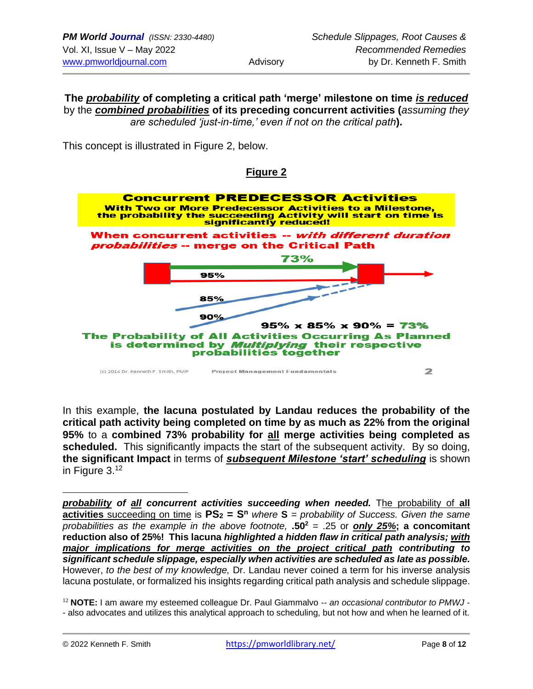**The** *probability* **of completing a critical path 'merge' milestone on time** *is reduced* by the *combined probabilities* **of its preceding concurrent activities (***assuming they are scheduled 'just-in-time,' even if not on the critical path***).**

This concept is illustrated in Figure 2, below.

### **Figure 2**



In this example, **the lacuna postulated by Landau reduces the probability of the critical path activity being completed on time by as much as 22% from the original 95%** to a **combined 73% probability for all merge activities being completed as scheduled.** This significantly impacts the start of the subsequent activity. By so doing, **the significant Impact** in terms of *subsequent Milestone 'start' scheduling* is shown in Figure  $3^{12}$ 

*probability of all concurrent activities succeeding when needed.* The probability of **all activities** succeeding on time is **PS<sup>2</sup> = S<sup>n</sup>** *where* **S** *= probability of Success. Given the same probabilities as the example in the above footnote,* **.50<sup>2</sup>** = .25 or *only 25%***; a concomitant reduction also of 25%! This lacuna** *highlighted a hidden flaw in critical path analysis; with major implications for merge activities on the project critical path contributing to significant schedule slippage, especially when activities are scheduled as late as possible.* However, *to the best of my knowledge,* Dr. Landau never coined a term for his inverse analysis lacuna postulate, or formalized his insights regarding critical path analysis and schedule slippage.

<sup>12</sup> **NOTE:** I am aware my esteemed colleague Dr. Paul Giammalvo -- *an occasional contributor to PMWJ* - - also advocates and utilizes this analytical approach to scheduling, but not how and when he learned of it.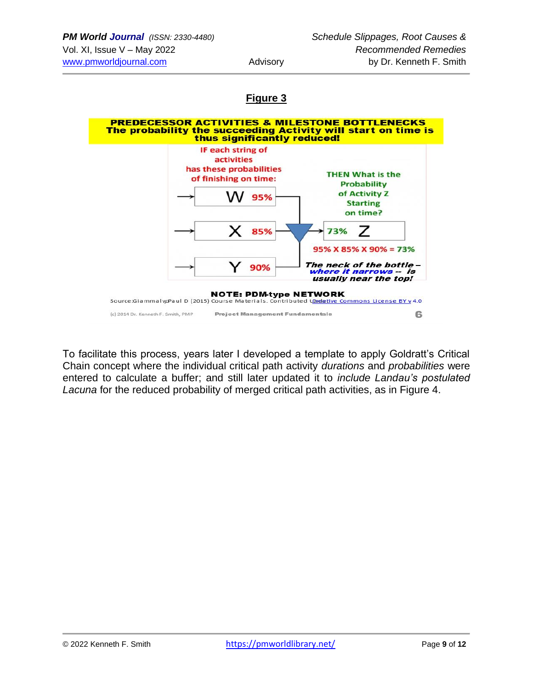# **Figure 3**



To facilitate this process, years later I developed a template to apply Goldratt's Critical Chain concept where the individual critical path activity *durations* and *probabilities* were entered to calculate a buffer; and still later updated it to *include Landau's postulated Lacuna* for the reduced probability of merged critical path activities, as in Figure 4.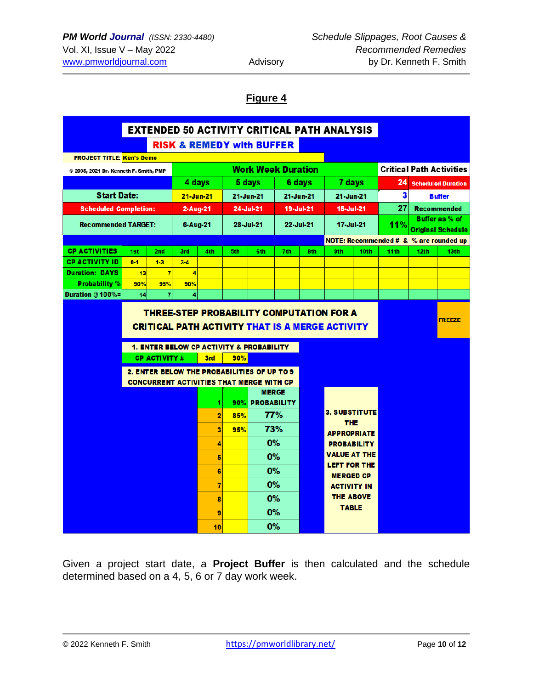## **Figure 4**

| <b>EXTENDED 50 ACTIVITY CRITICAL PATH ANALYSIS</b> |           |                                                                                                |                |                           |           |                                                     |           |     |                                                        |                                 |                                                   |                          |                  |
|----------------------------------------------------|-----------|------------------------------------------------------------------------------------------------|----------------|---------------------------|-----------|-----------------------------------------------------|-----------|-----|--------------------------------------------------------|---------------------------------|---------------------------------------------------|--------------------------|------------------|
| <b>RISK &amp; REMEDY with BUFFER</b>               |           |                                                                                                |                |                           |           |                                                     |           |     |                                                        |                                 |                                                   |                          |                  |
| <b>PROJECT TITLE: Ken's Demo</b>                   |           |                                                                                                |                |                           |           |                                                     |           |     |                                                        |                                 |                                                   |                          |                  |
| @ 2005, 2021 Dr. Kenneth F. Smith, PMP             |           |                                                                                                |                | <b>Work Week Duration</b> |           |                                                     |           |     |                                                        | <b>Critical Path Activities</b> |                                                   |                          |                  |
|                                                    |           |                                                                                                | 4 days         |                           | 5 days    |                                                     | 6 days    |     | 7 days                                                 |                                 | 24<br><b>Scheduled Duration</b>                   |                          |                  |
| <b>Start Date:</b>                                 |           |                                                                                                | 21-Jun-21      |                           | 21-Jun-21 |                                                     | 21-Jun-21 |     | 21-Jun-21                                              |                                 | 3<br><b>Buffer</b>                                |                          |                  |
| <b>Scheduled Completion:</b>                       |           |                                                                                                | $2-Aug-21$     |                           | 24-Jul-21 |                                                     | 19-Jul-21 |     | 15-Jul-21                                              |                                 |                                                   | 27<br><b>Recommended</b> |                  |
| <b>Recommended TARGET:</b>                         |           |                                                                                                | 6-Aug-21       |                           | 28-Jul-21 |                                                     | 22-Jul-21 |     | 17-Jul-21                                              |                                 | Buffer as % of<br>11%<br><b>Original Schedule</b> |                          |                  |
|                                                    |           |                                                                                                |                |                           |           |                                                     |           |     | NOTE: Recommended # & % are rounded up                 |                                 |                                                   |                          |                  |
| <b>CP ACTIVITIES</b>                               | 1st       | 2nd                                                                                            | 3rd            | 4th                       | 5th       | <b>Gth</b>                                          | 7th       | 8th | 9th                                                    | 10th                            | 11 <sup>th</sup>                                  | 12th                     | 13 <sub>th</sub> |
| <b>CP ACTIVITY ID</b>                              | $0 - 1$   | $1-3$                                                                                          | $3-4$          |                           |           |                                                     |           |     |                                                        |                                 |                                                   |                          |                  |
| <b>Duration: DAYS</b>                              | 13        | $\overline{7}$                                                                                 | $\overline{4}$ |                           |           |                                                     |           |     |                                                        |                                 |                                                   |                          |                  |
| <b>Probability %</b><br>Duration @ 100%=           | 90%<br>14 | 95%<br>$\overline{7}$                                                                          | 90%<br>4       |                           |           |                                                     |           |     |                                                        |                                 |                                                   |                          |                  |
|                                                    |           |                                                                                                |                |                           |           | <b>1. ENTER BELOW CP ACTIVITY &amp; PROBABILITY</b> |           |     | <b>CRITICAL PATH ACTIVITY THAT IS A MERGE ACTIVITY</b> |                                 |                                                   |                          |                  |
|                                                    |           | <b>CP ACTIVITY #</b>                                                                           |                | 3rd                       | 90%       |                                                     |           |     |                                                        |                                 |                                                   |                          |                  |
|                                                    |           | 2. ENTER BELOW THE PROBABILITIES OF UP TO 9<br><b>CONCURRENT ACTIVITIES THAT MERGE WITH CP</b> |                |                           |           |                                                     |           |     |                                                        |                                 |                                                   |                          |                  |
|                                                    |           |                                                                                                |                |                           |           | <b>MERGE</b>                                        |           |     |                                                        |                                 |                                                   |                          |                  |
|                                                    |           |                                                                                                |                | 11                        |           | 90% PROBABILITY                                     |           |     | <b>3. SUBSTITUTE</b>                                   |                                 |                                                   |                          |                  |
|                                                    |           |                                                                                                |                | 2                         | 85%       | <b>77%</b>                                          |           |     | <b>THE</b>                                             |                                 |                                                   |                          |                  |
|                                                    |           |                                                                                                |                | 3                         | 95%       | 73%                                                 |           |     | <b>APPROPRIATE</b>                                     |                                 |                                                   |                          |                  |
|                                                    |           |                                                                                                |                | 4                         |           | 0%                                                  |           |     | <b>PROBABILITY</b>                                     |                                 |                                                   |                          |                  |
|                                                    |           |                                                                                                |                | 5                         |           | 0%                                                  |           |     | VALUE AT THE                                           |                                 |                                                   |                          |                  |
|                                                    |           |                                                                                                |                | 6                         |           | 0%                                                  |           |     | <b>LEFT FOR THE</b><br><b>MERGED CP</b>                |                                 |                                                   |                          |                  |
|                                                    |           |                                                                                                |                | 7                         |           | 0%                                                  |           |     | <b>ACTIVITY IN</b>                                     |                                 |                                                   |                          |                  |
|                                                    |           |                                                                                                |                | 8                         |           | 0%                                                  |           |     | <b>THE ABOVE</b>                                       |                                 |                                                   |                          |                  |
|                                                    |           |                                                                                                |                | 9                         |           | 0%                                                  |           |     | <b>TABLE</b>                                           |                                 |                                                   |                          |                  |
|                                                    |           |                                                                                                |                | 10                        |           | 0%                                                  |           |     |                                                        |                                 |                                                   |                          |                  |

Given a project start date, a **Project Buffer** is then calculated and the schedule determined based on a 4, 5, 6 or 7 day work week.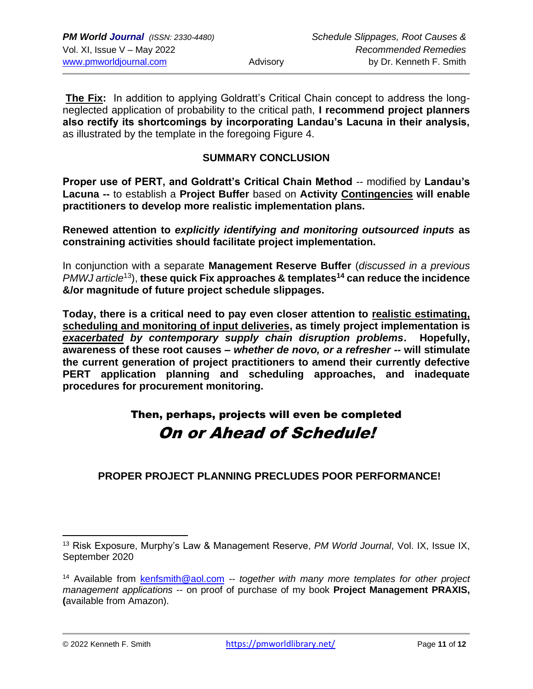**The Fix:** In addition to applying Goldratt's Critical Chain concept to address the longneglected application of probability to the critical path, **I recommend project planners also rectify its shortcomings by incorporating Landau's Lacuna in their analysis,**  as illustrated by the template in the foregoing Figure 4.

### **SUMMARY CONCLUSION**

**Proper use of PERT, and Goldratt's Critical Chain Method** -- modified by **Landau's Lacuna --** to establish a **Project Buffer** based on **Activity Contingencies will enable practitioners to develop more realistic implementation plans.**

**Renewed attention to** *explicitly identifying and monitoring outsourced inputs* **as constraining activities should facilitate project implementation.**

In conjunction with a separate **Management Reserve Buffer** (*discussed in a previous PMWJ article*<sup>13</sup>), **these quick Fix approaches & templates<sup>14</sup> can reduce the incidence &/or magnitude of future project schedule slippages.**

**Today, there is a critical need to pay even closer attention to realistic estimating, scheduling and monitoring of input deliveries, as timely project implementation is**  *exacerbated by contemporary supply chain disruption problems***. Hopefully, awareness of these root causes –** *whether de novo, or a refresher --* **will stimulate the current generation of project practitioners to amend their currently defective PERT application planning and scheduling approaches, and inadequate procedures for procurement monitoring.**

# Then, perhaps, projects will even be completed On or Ahead of Schedule!

**PROPER PROJECT PLANNING PRECLUDES POOR PERFORMANCE!**

<sup>13</sup> Risk Exposure, Murphy's Law & Management Reserve, *PM World Journal*, Vol. IX, Issue IX, September 2020

<sup>14</sup> Available from [kenfsmith@aol.com](mailto:kenfsmith@aol.com) *-- together with many more templates for other project management applications* -- on proof of purchase of my book **Project Management PRAXIS, (**available from Amazon).